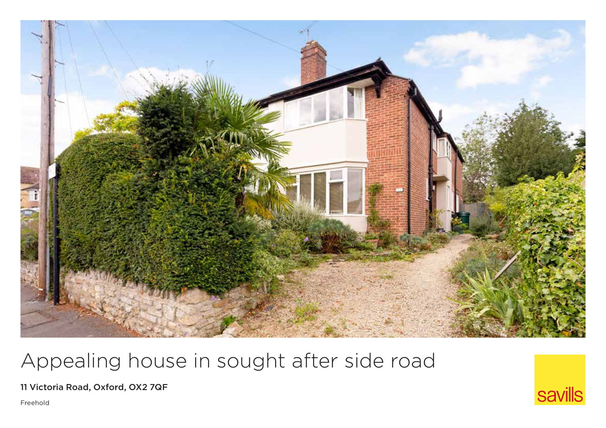

# Appealing house in sought after side road

11 Victoria Road, Oxford, OX2 7QF



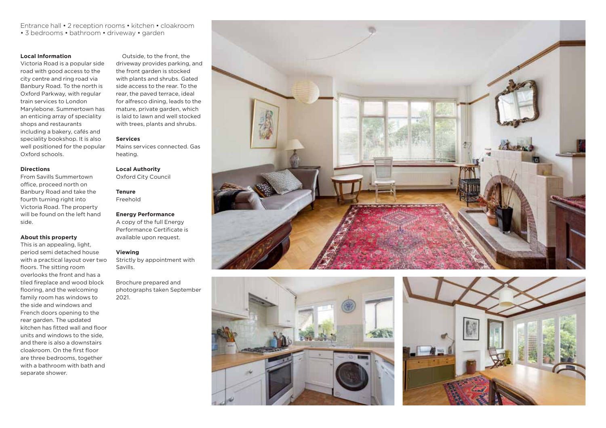Entrance hall • 2 reception rooms • kitchen • cloakroom • 3 bedrooms • bathroom • driveway • garden

#### **Local Information**

Victoria Road is a popular side road with good access to the city centre and ring road via Banbury Road. To the north is Oxford Parkway, with regular train services to London Marylebone. Summertown has an enticing array of speciality shops and restaurants including a bakery, cafés and speciality bookshop. It is also well positioned for the popular Oxford schools.

## **Directions**

From Savills Summertown office, proceed north on Banbury Road and take the fourth turning right into Victoria Road. The property will be found on the left hand side.

#### **About this property**

This is an appealing, light, period semi detached house with a practical layout over two floors. The sitting room overlooks the front and has a tiled fireplace and wood block flooring, and the welcoming family room has windows to the side and windows and French doors opening to the rear garden. The updated kitchen has fitted wall and floor units and windows to the side, and there is also a downstairs cloakroom. On the first floor are three bedrooms, together with a bathroom with bath and separate shower.

Outside, to the front, the driveway provides parking, and the front garden is stocked with plants and shrubs. Gated side access to the rear. To the rear, the paved terrace, ideal for alfresco dining, leads to the mature, private garden, which is laid to lawn and well stocked with trees, plants and shrubs.

#### **Services**

Mains services connected. Gas heating.

# **Local Authority**

Oxford City Council

# **Tenure**

Freehold

#### **Energy Performance**

A copy of the full Energy Performance Certificate is available upon request.

## **Viewing**

Strictly by appointment with Savills.

Brochure prepared and photographs taken September 2021.





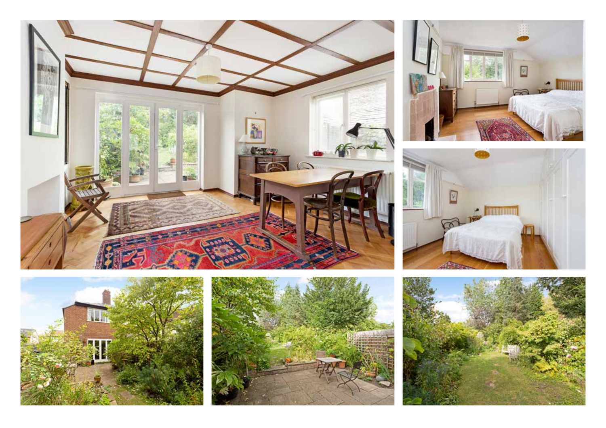